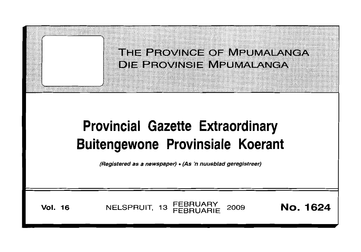|                                                                                                                                                   | THE PROVINCE OF MPUMALANGA<br>DIE BROVINSIE MPUMALANGA |                 |  |  |  |
|---------------------------------------------------------------------------------------------------------------------------------------------------|--------------------------------------------------------|-----------------|--|--|--|
| <b>Provincial Gazette Extraordinary</b><br><b>Buitengewone Provinsiale Koerant</b><br>(Registered as a newspaper) • (As 'n nuusblad geregistreer) |                                                        |                 |  |  |  |
| <b>Vol. 16</b>                                                                                                                                    | NELSPRUIT, 13 FEBRUARY<br>2009                         | <b>No. 1624</b> |  |  |  |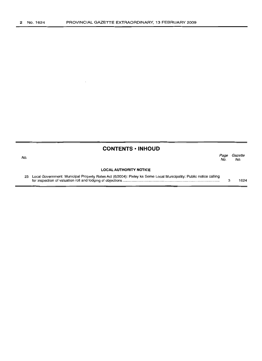$\bar{z}$ 

|     | <b>CONTENTS · INHOUD</b>                                                                                             |             |                |
|-----|----------------------------------------------------------------------------------------------------------------------|-------------|----------------|
| No. |                                                                                                                      | Page<br>No. | Gazette<br>No. |
|     | <b>LOCAL AUTHORITY NOTICE</b>                                                                                        |             |                |
|     | 23 Local Government: Municipal Property Rates Act (6/2004): Pixley ka Seme Local Municipality: Public notice calling |             | 1624           |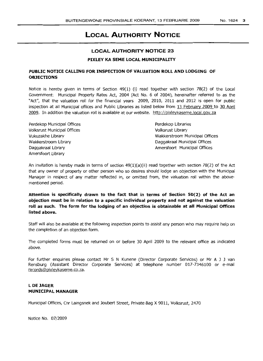## **LOCAL AUTHORITY NOTICE**

# **LOCAL AUTHORITY NOTICE 23**

#### **PIXLEY KA SEME LOCAL MUNICIPALITY**

#### **PUBLIC NOTICE CALLING FOR INSPECTION OF VALUATION ROLL AND LODGING OF OBJECTIONS**

Notice is hereby given in terms of Section 49(1) (i) read together with section 78(2) of the Local Government: Municipal Property Rates Act, 2004 (Act No. 6 of 2004), hereinafter referred to as the "Act", that the valuation roll for the financial years 2009, 2010, 2011 and 2012 is open for public inspection at all Municipal offices and Public Libraries as listed below from 13 February 2009 to 30 April 2009. In addition the valuation roll is available at our website. http://pixleykaseme.local.gov.za

Perdekop Municipal Offices Volksrust Municipal Offices Vukuzakhe Library Wakkerstroom Library Daggakraal Library Amersfoort Library

Perdekop Libraries Volksrust Library Wakkerstroom Municipal Offices Daggakraal Municipal Offices Amersfoort Municipal Offices

An invitation is hereby made in terms of section  $49(1)(a)(ii)$  read together with section 78(2) of the Act that any owner of property or other person who so desires should lodge an objection with the Municipal Manager in respect of any matter reflected in, or omitted from, the valuation roll within the abovementioned period.

**Attention is specifically drawn to the fact that in terms of Section 50(2) of the Act an objection must be in relation to a specific individual property and not against the valuation roll as such. The form for the lodging of an objection is obtainable at all Municipal Offices listed above.**

Staff will also be available at the following inspection points to assist any person who may require help on the completion of an objection form.

The completed forms must be returned on or before 30 April 2009 to the relevant office as indicated above.

For further enquiries please contact Mr S N Kunene (Director Corporate Services) or Mr A J J van Rensburg (Assistant Director Corporate Services) at telephone number 017-7346100 or e-mail records@pixleykaseme.co.za.

#### **L DE lAGER MUNICIPAL MANAGER**

Municipal Offices, Cnr Laingsnek and Joubert Street, Private Bag X 9011, Volksrust, 2470

Notice No. 07/2009